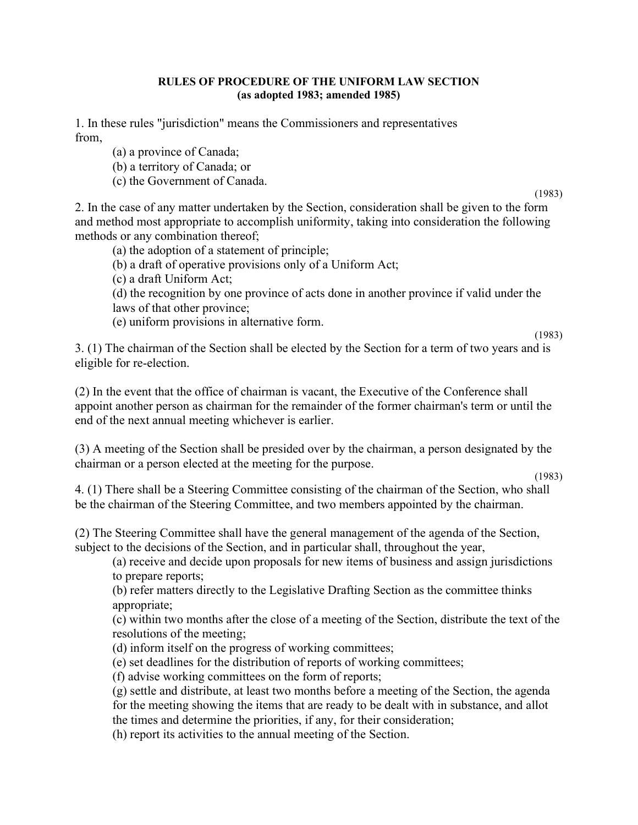## RULES OF PROCEDURE OF THE UNIFORM LAW SECTION (as adopted 1983; amended 1985)

1. In these rules "jurisdiction" means the Commissioners and representatives from,

- (a) a province of Canada;
- (b) a territory of Canada; or
- (c) the Government of Canada.

(1983)

2. In the case of any matter undertaken by the Section, consideration shall be given to the form and method most appropriate to accomplish uniformity, taking into consideration the following methods or any combination thereof;

- (a) the adoption of a statement of principle;
- (b) a draft of operative provisions only of a Uniform Act;
- (c) a draft Uniform Act;
- (d) the recognition by one province of acts done in another province if valid under the laws of that other province;
- (e) uniform provisions in alternative form.

(1983)

3. (1) The chairman of the Section shall be elected by the Section for a term of two years and is eligible for re-election.

(2) In the event that the office of chairman is vacant, the Executive of the Conference shall appoint another person as chairman for the remainder of the former chairman's term or until the end of the next annual meeting whichever is earlier.

(3) A meeting of the Section shall be presided over by the chairman, a person designated by the chairman or a person elected at the meeting for the purpose.

4. (1) There shall be a Steering Committee consisting of the chairman of the Section, who shall be the chairman of the Steering Committee, and two members appointed by the chairman.

(2) The Steering Committee shall have the general management of the agenda of the Section, subject to the decisions of the Section, and in particular shall, throughout the year,

(a) receive and decide upon proposals for new items of business and assign jurisdictions to prepare reports;

(b) refer matters directly to the Legislative Drafting Section as the committee thinks appropriate;

(c) within two months after the close of a meeting of the Section, distribute the text of the resolutions of the meeting;

- (d) inform itself on the progress of working committees;
- (e) set deadlines for the distribution of reports of working committees;

(f) advise working committees on the form of reports;

(g) settle and distribute, at least two months before a meeting of the Section, the agenda for the meeting showing the items that are ready to be dealt with in substance, and allot the times and determine the priorities, if any, for their consideration;

(h) report its activities to the annual meeting of the Section.